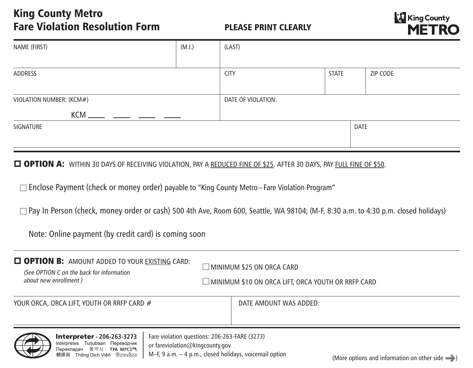## King County Metro Fare Violation Resolution Form

## PLEASE PRINT CLEARLY



| NAME (FIRST)             | (M.I.)             | (LAST)      |       |          |
|--------------------------|--------------------|-------------|-------|----------|
|                          |                    |             |       |          |
| ADDRESS                  |                    | <b>CITY</b> | STATE | ZIP CODE |
|                          |                    |             |       |          |
| VIOLATION NUMBER: (KCM#) | DATE OF VIOLATION: |             |       |          |
|                          |                    |             |       |          |
| SIGNATURE                |                    | <b>DATE</b> |       |          |
|                          |                    |             |       |          |

## **D OPTION A:** WITHIN 30 DAYS OF RECEIVING VIOLATION, PAY A REDUCED FINE OF \$25. AFTER 30 DAYS, PAY FULL FINE OF \$50.

Enclose Payment (check or money order) payable to "King County Metro–Fare Violation Program"

 $\Box$  Pay In Person (check, money order or cash) 500 4th Ave, Room 600, Seattle, WA 98104; (M-F, 8:30 a.m. to 4:30 p.m. closed holidays)

Note: Online payment (by credit card) is coming soon

| <b>OPTION B:</b> AMOUNT ADDED TO YOUR EXISTING CARD:<br>(See OPTION C on the back for information<br>about new enrollment) | $\Box$ MINIMUM \$25 ON ORCA CARD<br>$\Box$ MINIMUM \$10 ON ORCA LIFT, ORCA YOUTH OR RRFP CARD |                        |  |  |
|----------------------------------------------------------------------------------------------------------------------------|-----------------------------------------------------------------------------------------------|------------------------|--|--|
| YOUR ORCA, ORCA LIFT, YOUTH OR RRFP CARD #                                                                                 |                                                                                               | DATE AMOUNT WAS ADDED: |  |  |
| <b>Interpreter - 206-263-3273</b><br>Fare violation questions: 206-263-FARE (3273)                                         |                                                                                               |                        |  |  |



or fareviolation@kingcounty.gov M–F, 9 a.m. – 4 p.m., closed holidays, voicemail option